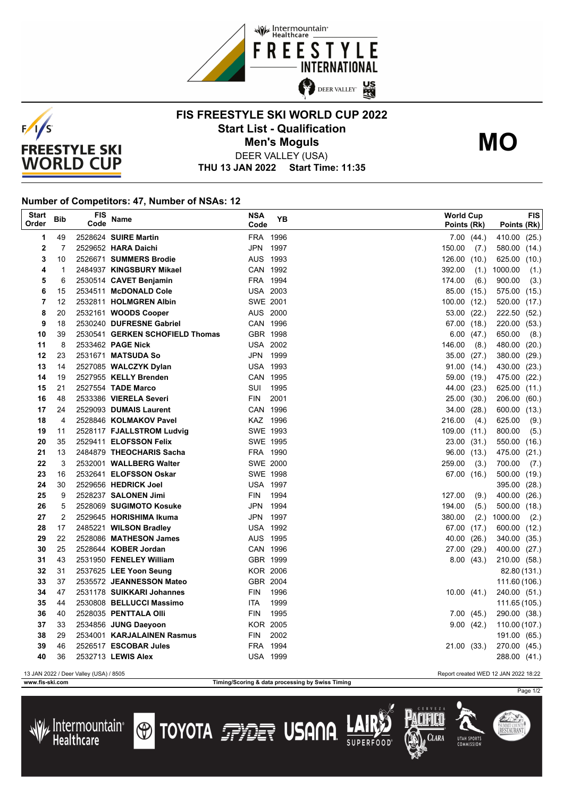



## **FIS FREESTYLE SKI WORLD CUP 2022 Start List - Qualification Men's Moguls MO**



DEER VALLEY (USA)

**THU 13 JAN 2022 Start Time: 11:35**

## **Number of Competitors: 47, Number of NSAs: 12**

| <b>Start</b><br>Order | Bib            | FIS<br>Code | Name                            | <b>NSA</b><br>Code | YB   | <b>World Cup</b> | Points (Rk)     | Points (Rk)   | <b>FIS</b> |
|-----------------------|----------------|-------------|---------------------------------|--------------------|------|------------------|-----------------|---------------|------------|
| 1                     | 49             |             | 2528624 SUIRE Martin            | FRA 1996           |      |                  | 7.00(44.)       | 410.00        | (25.)      |
| $\overline{2}$        | $\overline{7}$ |             | 2529652 HARA Daichi             | JPN 1997           |      | 150.00           | (7.)            | 580.00        | (14.)      |
| 3                     | 10             |             | 2526671 SUMMERS Brodie          | AUS 1993           |      | 126.00           | (10.)           | 625.00        | (10.)      |
| 4                     | $\mathbf{1}$   |             | 2484937 KINGSBURY Mikael        | CAN 1992           |      | 392.00           | (1.)            | 1000.00       | (1.)       |
| 5                     | 6              |             | 2530514 CAVET Benjamin          | FRA 1994           |      | 174.00           | (6.)            | 900.00        | (3.)       |
| 6                     | 15             |             | 2534511 McDONALD Cole           | <b>USA 2003</b>    |      |                  | 85.00 (15.)     | 575.00 (15.)  |            |
| $\overline{7}$        | 12             |             | 2532811 HOLMGREN Albin          | SWE 2001           |      | 100.00           | (12.)           | 520.00        | (17.)      |
| 8                     | 20             |             | 2532161 WOODS Cooper            | AUS 2000           |      |                  | $53.00$ $(22.)$ | 222.50        | (52.)      |
| 9                     | 18             |             | 2530240 DUFRESNE Gabriel        | CAN 1996           |      |                  | 67.00 (18.)     | 220.00 (53.)  |            |
| 10                    | 39             |             | 2530541 GERKEN SCHOFIELD Thomas | GBR 1998           |      |                  | $6.00$ (47.)    | 650.00        | (8.)       |
| 11                    | 8              |             | 2533462 PAGE Nick               | <b>USA 2002</b>    |      | 146.00           | (8.)            | 480.00        | (20.)      |
| 12                    | 23             |             | 2531671 MATSUDA So              | JPN 1999           |      | 35.00            | (27.)           | 380.00        | (29.)      |
| 13                    | 14             |             | 2527085 WALCZYK Dylan           | <b>USA 1993</b>    |      |                  | 91.00 (14.)     | 430.00 (23.)  |            |
| 14                    | 19             |             | 2527955 KELLY Brenden           | CAN 1995           |      |                  | 59.00 (19.)     | 475.00        | (22.)      |
| 15                    | 21             |             | 2527554 TADE Marco              | SUI                | 1995 |                  | 44.00 (23.)     | 625.00 (11.)  |            |
| 16                    | 48             |             | 2533386 VIERELA Severi          | <b>FIN</b>         | 2001 | 25.00            | (30.)           | 206.00        | (60.)      |
| 17                    | 24             |             | 2529093 DUMAIS Laurent          | CAN 1996           |      |                  | 34.00 (28.)     | 600.00 (13.)  |            |
| 18                    | 4              |             | 2528846 KOLMAKOV Pavel          | KAZ 1996           |      | 216.00           | (4.)            | 625.00        | (9.)       |
| 19                    | 11             |             | 2528117 FJALLSTROM Ludvig       | SWE 1993           |      | 109.00(11.)      |                 | 800.00        | (5.)       |
| 20                    | 35             |             | 2529411 ELOFSSON Felix          | SWE 1995           |      |                  | 23.00 (31.)     | 550.00        | (16.)      |
| 21                    | 13             |             | 2484879 THEOCHARIS Sacha        | FRA 1990           |      |                  | 96.00 (13.)     | 475.00        | (21.)      |
| 22                    | 3              |             | 2532001 WALLBERG Walter         | <b>SWE 2000</b>    |      | 259.00           | (3.)            | 700.00        | (7.)       |
| 23                    | 16             |             | 2532641 ELOFSSON Oskar          | SWE 1998           |      |                  | 67.00 (16.)     | 500.00 (19.)  |            |
| 24                    | 30             |             | 2529656 HEDRICK Joel            | <b>USA 1997</b>    |      |                  |                 | 395.00 (28.)  |            |
| 25                    | 9              |             | 2528237 SALONEN Jimi            | <b>FIN</b>         | 1994 | 127.00           | (9.)            | 400.00        | (26.)      |
| 26                    | 5              |             | 2528069 SUGIMOTO Kosuke         | JPN 1994           |      | 194.00           | (5.)            | 500.00 (18.)  |            |
| 27                    | $\overline{2}$ |             | 2529645 HORISHIMA Ikuma         | JPN 1997           |      | 380.00           | (2.)            | 1000.00       | (2.)       |
| 28                    | 17             |             | 2485221 WILSON Bradley          | <b>USA 1992</b>    |      |                  | 67.00 (17.)     | 600.00 (12.)  |            |
| 29                    | 22             |             | 2528086 MATHESON James          | AUS 1995           |      | 40.00            | (26.)           | 340.00 (35.)  |            |
| 30                    | 25             |             | 2528644 KOBER Jordan            | CAN 1996           |      |                  | 27.00 (29.)     | 400.00 (27.)  |            |
| 31                    | 43             |             | 2531950 FENELEY William         | GBR 1999           |      |                  | 8.00(43.)       | 210.00 (58.)  |            |
| 32                    | 31             |             | 2537625 LEE Yoon Seung          | <b>KOR 2006</b>    |      |                  |                 | 82.80 (131.)  |            |
| 33                    | 37             |             | 2535572 JEANNESSON Mateo        | GBR 2004           |      |                  |                 | 111.60 (106.) |            |
| 34                    | 47             |             | 2531178 SUIKKARI Johannes       | FIN                | 1996 |                  | 10.00(41)       | 240.00 (51.)  |            |
| 35                    | 44             |             | 2530808 BELLUCCI Massimo        | ITA                | 1999 |                  |                 | 111.65 (105.) |            |
| 36                    | 40             |             | 2528035 PENTTALA Olli           | FIN                | 1995 |                  | 7.00(45)        | 290.00 (38.)  |            |
| 37                    | 33             |             | 2534856 JUNG Daeyoon            | <b>KOR 2005</b>    |      |                  | 9.00(42.)       | 110.00 (107.) |            |
| 38                    | 29             |             | 2534001 KARJALAINEN Rasmus      | FIN                | 2002 |                  |                 | 191.00 (65.)  |            |
| 39                    | 46             |             | 2526517 ESCOBAR Jules           | FRA 1994           |      |                  | 21.00 (33.)     | 270.00 (45.)  |            |
| 40                    | 36             |             | 2532713 LEWIS Alex              | <b>USA 1999</b>    |      |                  |                 | 288.00 (41.)  |            |

13 JAN 2022 / Deer Valley (USA) / 8505 Report created WED 12 JAN 2022 18:22

**www.fis-ski.com Timing/Scoring & data processing by Swiss Timing**



SUMMIT COUNT<br>**RESTAURAN**T

CLARA

**IITAH SPORT** 



**TOYOTA FRIET USANA**